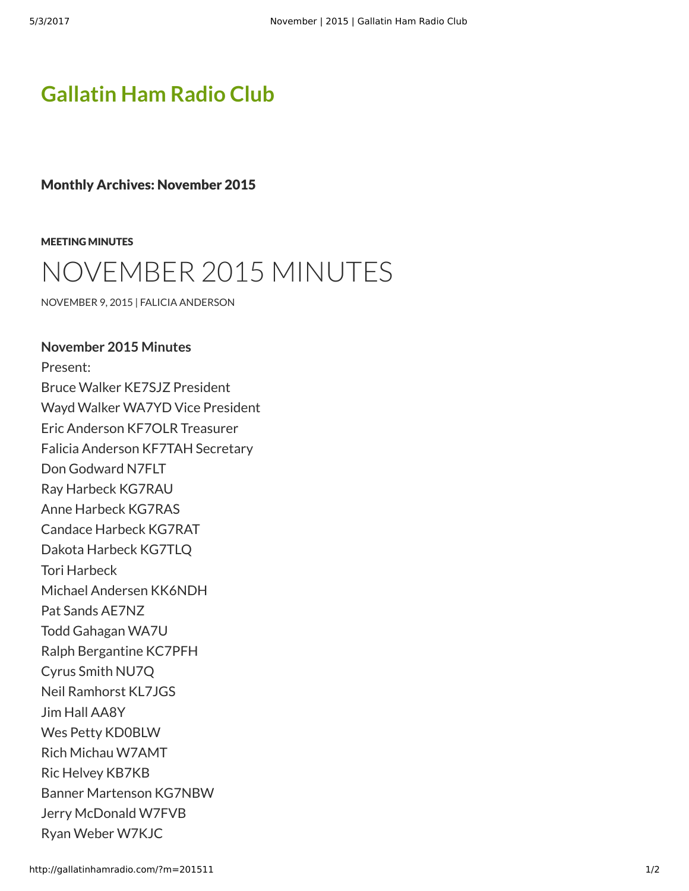## **[Gallatin Ham Radio Club](http://gallatinhamradio.com/)**

Monthly Archives: November 2015

[MEETING MINUTES](http://gallatinhamradio.com/?cat=2)

## [NOVEMBER 2015 MINUTES](http://gallatinhamradio.com/?p=359)

[NOVEMBER 9, 2015](http://gallatinhamradio.com/?p=359) | [FALICIA ANDERSON](http://gallatinhamradio.com/?author=2)

**November 2015 Minutes** Present:

Bruce Walker KE7SJZ President Wayd Walker WA7YD Vice President Eric Anderson KF7OLR Treasurer Falicia Anderson KF7TAH Secretary Don Godward N7FLT Ray Harbeck KG7RAU Anne Harbeck KG7RAS Candace Harbeck KG7RAT Dakota Harbeck KG7TLQ Tori Harbeck Michael Andersen KK6NDH Pat Sands AE7NZ Todd Gahagan WA7U Ralph Bergantine KC7PFH Cyrus Smith NU7Q Neil Ramhorst KL7JGS Jim Hall AA8Y Wes Petty KD0BLW Rich Michau W7AMT Ric Helvey KB7KB Banner Martenson KG7NBW Jerry McDonald W7FVB Ryan Weber W7KJC